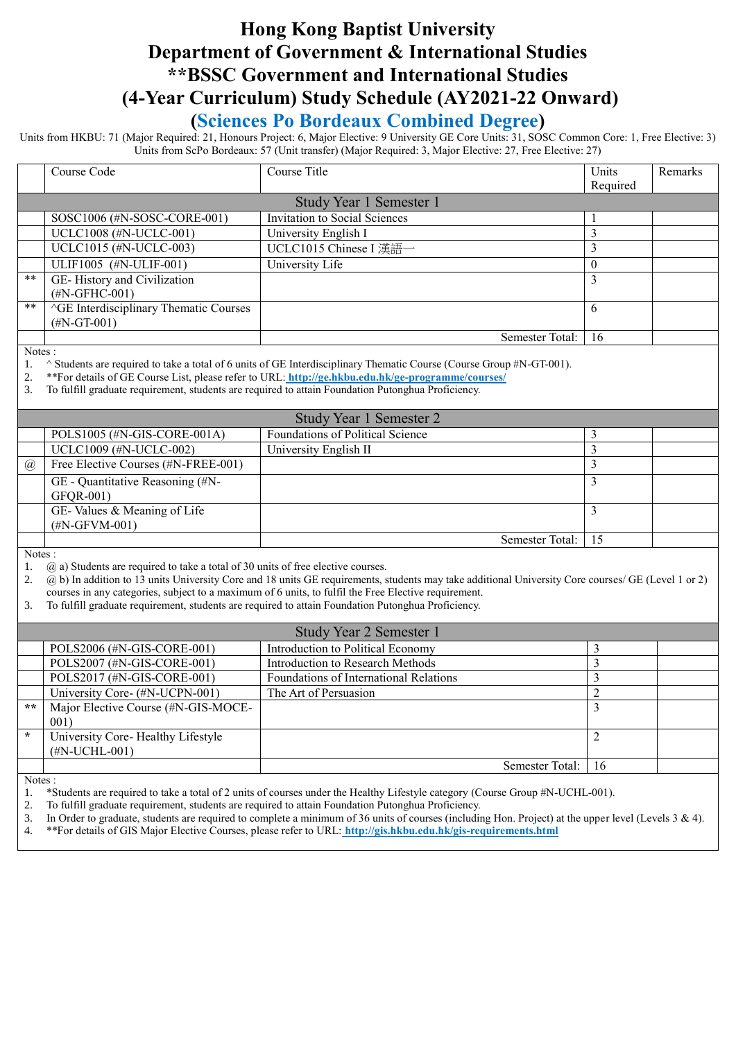# **Hong Kong Baptist University Department of Government & International Studies \*\*BSSC Government and International Studies (4-Year Curriculum) Study Schedule (AY2021-22 Onward)**

### **(Sciences Po Bordeaux Combined Degree)**

Units from HKBU: 71 (Major Required: 21, Honours Project: 6, Major Elective: 9 University GE Core Units: 31, SOSC Common Core: 1, Free Elective: 3) Units from ScPo Bordeaux: 57 (Unit transfer) (Major Required: 3, Major Elective: 27, Free Elective: 27)

|                                | Course Code                                                                          | Course Title                                                                                                                                                                                            | Units          | Remarks |
|--------------------------------|--------------------------------------------------------------------------------------|---------------------------------------------------------------------------------------------------------------------------------------------------------------------------------------------------------|----------------|---------|
|                                |                                                                                      |                                                                                                                                                                                                         | Required       |         |
| Study Year 1 Semester 1        |                                                                                      |                                                                                                                                                                                                         |                |         |
|                                | SOSC1006 (#N-SOSC-CORE-001)                                                          | <b>Invitation to Social Sciences</b>                                                                                                                                                                    | 1              |         |
|                                | UCLC1008 (#N-UCLC-001)                                                               | University English I                                                                                                                                                                                    | $\overline{3}$ |         |
|                                | UCLC1015 (#N-UCLC-003)                                                               | UCLC1015 Chinese I 漢語一                                                                                                                                                                                  | 3              |         |
|                                | ULIF1005 (#N-ULIF-001)                                                               | University Life                                                                                                                                                                                         | $\theta$       |         |
| $***$                          | GE-History and Civilization                                                          |                                                                                                                                                                                                         | 3              |         |
|                                | $(\text{\#N-GFHC-001})$                                                              |                                                                                                                                                                                                         |                |         |
| $**$                           | <b>AGE</b> Interdisciplinary Thematic Courses                                        |                                                                                                                                                                                                         | 6              |         |
|                                | $(HN-GT-001)$                                                                        |                                                                                                                                                                                                         |                |         |
|                                |                                                                                      | Semester Total:                                                                                                                                                                                         | 16             |         |
| Notes:                         |                                                                                      |                                                                                                                                                                                                         |                |         |
| 1.                             |                                                                                      | $\land$ Students are required to take a total of 6 units of GE Interdisciplinary Thematic Course (Course Group #N-GT-001).                                                                              |                |         |
| 2.<br>3.                       |                                                                                      | **For details of GE Course List, please refer to URL: http://ge.hkbu.edu.hk/ge-programme/courses/<br>To fulfill graduate requirement, students are required to attain Foundation Putonghua Proficiency. |                |         |
|                                |                                                                                      |                                                                                                                                                                                                         |                |         |
|                                |                                                                                      | Study Year 1 Semester 2                                                                                                                                                                                 |                |         |
|                                | POLS1005 (#N-GIS-CORE-001A)                                                          | Foundations of Political Science                                                                                                                                                                        | 3              |         |
|                                | UCLC1009 (#N-UCLC-002)                                                               | University English II                                                                                                                                                                                   | $\overline{3}$ |         |
| @                              | Free Elective Courses (#N-FREE-001)                                                  |                                                                                                                                                                                                         | $\overline{3}$ |         |
|                                | GE - Quantitative Reasoning (#N-                                                     |                                                                                                                                                                                                         | 3              |         |
|                                | GFQR-001)                                                                            |                                                                                                                                                                                                         |                |         |
|                                | GE-Values & Meaning of Life                                                          |                                                                                                                                                                                                         | 3              |         |
|                                | $(\text{\#N-GFVM-001})$                                                              |                                                                                                                                                                                                         |                |         |
|                                |                                                                                      | Semester Total:                                                                                                                                                                                         | 15             |         |
| Notes:                         |                                                                                      |                                                                                                                                                                                                         |                |         |
| 1.                             | $(a)$ a) Students are required to take a total of 30 units of free elective courses. | (a) b) In addition to 13 units University Core and 18 units GE requirements, students may take additional University Core courses/ GE (Level 1 or 2)                                                    |                |         |
| 2.                             |                                                                                      | courses in any categories, subject to a maximum of 6 units, to fulfil the Free Elective requirement.                                                                                                    |                |         |
| 3.                             |                                                                                      | To fulfill graduate requirement, students are required to attain Foundation Putonghua Proficiency.                                                                                                      |                |         |
|                                |                                                                                      |                                                                                                                                                                                                         |                |         |
| <b>Study Year 2 Semester 1</b> |                                                                                      |                                                                                                                                                                                                         |                |         |
|                                | POLS2006 (#N-GIS-CORE-001)                                                           | Introduction to Political Economy                                                                                                                                                                       | 3              |         |
|                                | POLS2007 (#N-GIS-CORE-001)                                                           | <b>Introduction to Research Methods</b>                                                                                                                                                                 | $\overline{3}$ |         |
|                                | POLS2017 (#N-GIS-CORE-001)                                                           | Foundations of International Relations                                                                                                                                                                  | 3              |         |
|                                | University Core- (#N-UCPN-001)                                                       | The Art of Persuasion                                                                                                                                                                                   | $\overline{2}$ |         |
| $\star \star$                  | Major Elective Course (#N-GIS-MOCE-                                                  |                                                                                                                                                                                                         | $\overline{3}$ |         |
|                                | 001)                                                                                 |                                                                                                                                                                                                         |                |         |
| $\star$                        | University Core-Healthy Lifestyle                                                    |                                                                                                                                                                                                         | $\overline{2}$ |         |
|                                | (#N-UCHL-001)                                                                        |                                                                                                                                                                                                         |                |         |
|                                |                                                                                      | Semester Total:                                                                                                                                                                                         | 16             |         |

Notes :

1. \*Students are required to take a total of 2 units of courses under the Healthy Lifestyle category (Course Group #N-UCHL-001).

2. To fulfill graduate requirement, students are required to attain Foundation Putonghua Proficiency.

- 3. In Order to graduate, students are required to complete a minimum of 36 units of courses (including Hon. Project) at the upper level (Levels 3 & 4).
- 4. \*\*For details of GIS Major Elective Courses, please refer to URL: **<http://gis.hkbu.edu.hk/gis-requirements.html>**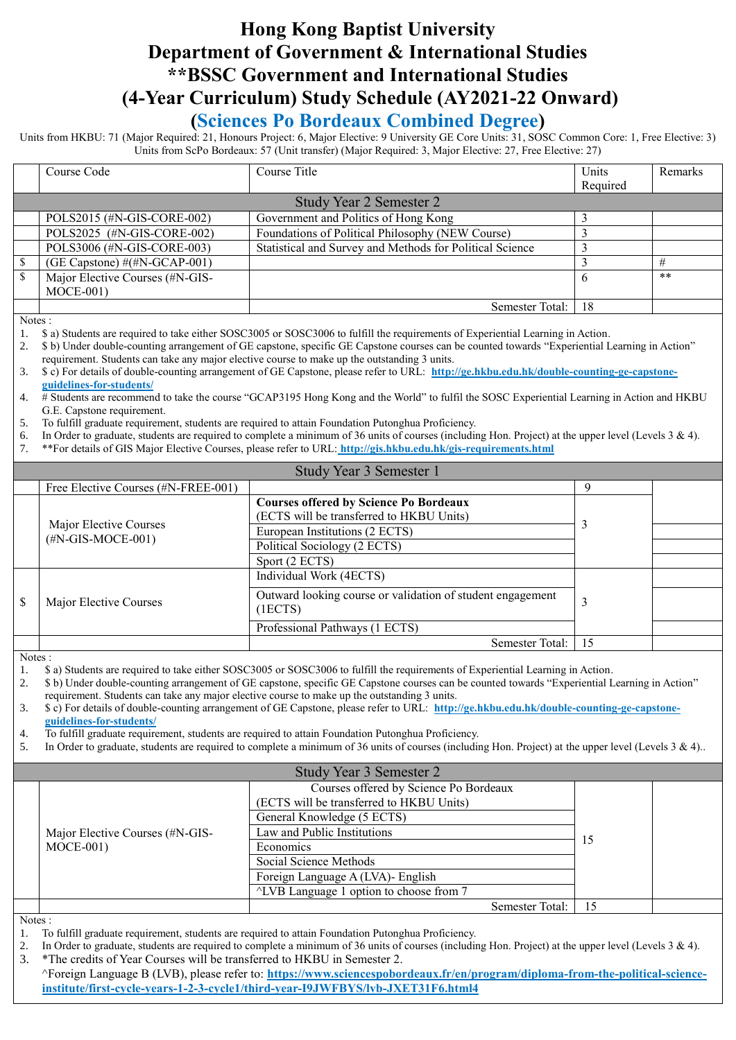# **Hong Kong Baptist University Department of Government & International Studies \*\*BSSC Government and International Studies (4-Year Curriculum) Study Schedule (AY2021-22 Onward)**

### **(Sciences Po Bordeaux Combined Degree)**

Units from HKBU: 71 (Major Required: 21, Honours Project: 6, Major Elective: 9 University GE Core Units: 31, SOSC Common Core: 1, Free Elective: 3) Units from ScPo Bordeaux: 57 (Unit transfer) (Major Required: 3, Major Elective: 27, Free Elective: 27)

|               | Course Code                             | Course Title                                             | Units    | Remarks |
|---------------|-----------------------------------------|----------------------------------------------------------|----------|---------|
|               |                                         |                                                          | Required |         |
|               |                                         | Study Year 2 Semester 2                                  |          |         |
|               | POLS2015 (#N-GIS-CORE-002)              | Government and Politics of Hong Kong                     |          |         |
|               | POLS2025 (#N-GIS-CORE-002)              | Foundations of Political Philosophy (NEW Course)         |          |         |
|               | POLS3006 (#N-GIS-CORE-003)              | Statistical and Survey and Methods for Political Science |          |         |
|               | (GE Capstone) $\#(\#N\text{-GCAP-001})$ |                                                          |          | #       |
| <sup>\$</sup> | Major Elective Courses (#N-GIS-         |                                                          | 6        | **      |
|               | $MOCE-001)$                             |                                                          |          |         |
|               |                                         | Semester Total:                                          | 18       |         |
| $\mathbf{X}$  |                                         |                                                          |          |         |

Notes :

1. \$ a) Students are required to take either SOSC3005 or SOSC3006 to fulfill the requirements of Experiential Learning in Action.

2. \$ b) Under double-counting arrangement of GE capstone, specific GE Capstone courses can be counted towards "Experiential Learning in Action" requirement. Students can take any major elective course to make up the outstanding 3 units.

3. \$ c) For details of double-counting arrangement of GE Capstone, please refer to URL: **[http://ge.hkbu.edu.hk/double-counting-ge-capstone](http://ge.hkbu.edu.hk/double-counting-ge-capstone-guidelines-for-students/)[guidelines-for-students/](http://ge.hkbu.edu.hk/double-counting-ge-capstone-guidelines-for-students/)**

- 4. # Students are recommend to take the course "GCAP3195 Hong Kong and the World" to fulfil the SOSC Experiential Learning in Action and HKBU G.E. Capstone requirement.
- 5. To fulfill graduate requirement, students are required to attain Foundation Putonghua Proficiency.
- 6. In Order to graduate, students are required to complete a minimum of 36 units of courses (including Hon. Project) at the upper level (Levels  $3 \& 4$ ).
- 7. \*\*For details of GIS Major Elective Courses, please refer to URL: **<http://gis.hkbu.edu.hk/gis-requirements.html>**

| Study Year 3 Semester 1                               |                                                                                           |    |  |  |
|-------------------------------------------------------|-------------------------------------------------------------------------------------------|----|--|--|
| Free Elective Courses (#N-FREE-001)                   |                                                                                           | 9  |  |  |
|                                                       | <b>Courses offered by Science Po Bordeaux</b><br>(ECTS will be transferred to HKBU Units) |    |  |  |
| Major Elective Courses<br>$(\text{\#N-GIS-MOCE-001})$ | European Institutions (2 ECTS)                                                            |    |  |  |
|                                                       | Political Sociology (2 ECTS)                                                              |    |  |  |
|                                                       | Sport (2 ECTS)                                                                            |    |  |  |
|                                                       | Individual Work (4ECTS)                                                                   |    |  |  |
| \$<br>Major Elective Courses                          | Outward looking course or validation of student engagement<br>(IECTS)                     |    |  |  |
|                                                       | Professional Pathways (1 ECTS)                                                            |    |  |  |
|                                                       | Semester Total:                                                                           | 15 |  |  |

Notes :

1. \$ a) Students are required to take either SOSC3005 or SOSC3006 to fulfill the requirements of Experiential Learning in Action.

2. \$ b) Under double-counting arrangement of GE capstone, specific GE Capstone courses can be counted towards "Experiential Learning in Action"

requirement. Students can take any major elective course to make up the outstanding 3 units. 3. \$ c) For details of double-counting arrangement of GE Capstone, please refer to URL: **[http://ge.hkbu.edu.hk/double-counting-ge-capstone](http://ge.hkbu.edu.hk/double-counting-ge-capstone-guidelines-for-students/)[guidelines-for-students/](http://ge.hkbu.edu.hk/double-counting-ge-capstone-guidelines-for-students/)**

4. To fulfill graduate requirement, students are required to attain Foundation Putonghua Proficiency.

5. In Order to graduate, students are required to complete a minimum of 36 units of courses (including Hon. Project) at the upper level (Levels 3 & 4)..

| Study Year 3 Semester 2 |                                 |                                                    |    |  |
|-------------------------|---------------------------------|----------------------------------------------------|----|--|
|                         |                                 | Courses offered by Science Po Bordeaux             |    |  |
|                         |                                 | (ECTS will be transferred to HKBU Units)           |    |  |
|                         | Major Elective Courses (#N-GIS- | General Knowledge (5 ECTS)                         |    |  |
|                         |                                 | Law and Public Institutions                        |    |  |
|                         | $MOCE-001)$                     | Economics                                          | 15 |  |
|                         |                                 | Social Science Methods                             |    |  |
|                         |                                 | Foreign Language A (LVA)- English                  |    |  |
|                         |                                 | $\triangle$ LVB Language 1 option to choose from 7 |    |  |
|                         |                                 | Semester Total:                                    |    |  |

Notes :

- 1. To fulfill graduate requirement, students are required to attain Foundation Putonghua Proficiency.
- 2. In Order to graduate, students are required to complete a minimum of 36 units of courses (including Hon. Project) at the upper level (Levels  $3 \& 4$ ). 3. \*The credits of Year Courses will be transferred to HKBU in Semester 2.
- ^Foreign Language B (LVB), please refer to: **[https://www.sciencespobordeaux.fr/en/program/diploma-from-the-political-science](https://www.sciencespobordeaux.fr/en/program/diploma-from-the-political-science-institute/first-cycle-years-1-2-3-cycle1/third-year-I9JWFBYS/lvb-JXET31F6.html4)[institute/first-cycle-years-1-2-3-cycle1/third-year-I9JWFBYS/lvb-JXET31F6.html4](https://www.sciencespobordeaux.fr/en/program/diploma-from-the-political-science-institute/first-cycle-years-1-2-3-cycle1/third-year-I9JWFBYS/lvb-JXET31F6.html4)**